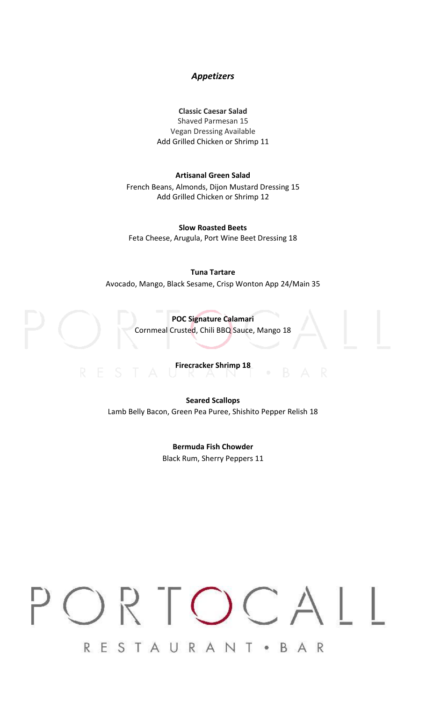# *Appetizers*

# **Classic Caesar Salad**

Shaved Parmesan 15 Vegan Dressing Available Add Grilled Chicken or Shrimp 11

#### **Artisanal Green Salad**

French Beans, Almonds, Dijon Mustard Dressing 15 Add Grilled Chicken or Shrimp 12

**Slow Roasted Beets** Feta Cheese, Arugula, Port Wine Beet Dressing 18

### **Tuna Tartare**

Avocado, Mango, Black Sesame, Crisp Wonton App 24/Main 35



# **Firecracker Shrimp 18**

**Seared Scallops** Lamb Belly Bacon, Green Pea Puree, Shishito Pepper Relish 18

> **Bermuda Fish Chowder** Black Rum, Sherry Peppers 11

# $\bigcirc$  $\overline{\mathcal{L}}$ RESTAURANT • BAR